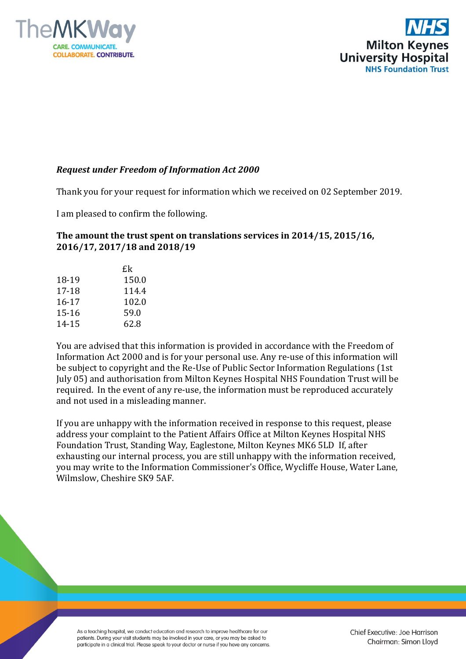



## *Request under Freedom of Information Act 2000*

Thank you for your request for information which we received on 02 September 2019.

I am pleased to confirm the following.

## **The amount the trust spent on translations services in 2014/15, 2015/16, 2016/17, 2017/18 and 2018/19**

|           | £k    |
|-----------|-------|
| 18-19     | 150.0 |
| 17-18     | 114.4 |
| $16 - 17$ | 102.0 |
| $15 - 16$ | 59.0  |
| 14-15     | 62.8  |

You are advised that this information is provided in accordance with the Freedom of Information Act 2000 and is for your personal use. Any re-use of this information will be subject to copyright and the Re-Use of Public Sector Information Regulations (1st July 05) and authorisation from Milton Keynes Hospital NHS Foundation Trust will be required. In the event of any re-use, the information must be reproduced accurately and not used in a misleading manner.

If you are unhappy with the information received in response to this request, please address your complaint to the Patient Affairs Office at Milton Keynes Hospital NHS Foundation Trust, Standing Way, Eaglestone, Milton Keynes MK6 5LD If, after exhausting our internal process, you are still unhappy with the information received, you may write to the Information Commissioner's Office, Wycliffe House, Water Lane, Wilmslow, Cheshire SK9 5AF.

As a teaching hospital, we conduct education and research to improve healthcare for our patients. During your visit students may be involved in your care, or you may be asked to participate in a clinical trial. Please speak to your doctor or nurse if you have any concerns. Chief Executive: Joe Harrison Chairman: Simon Lloyd